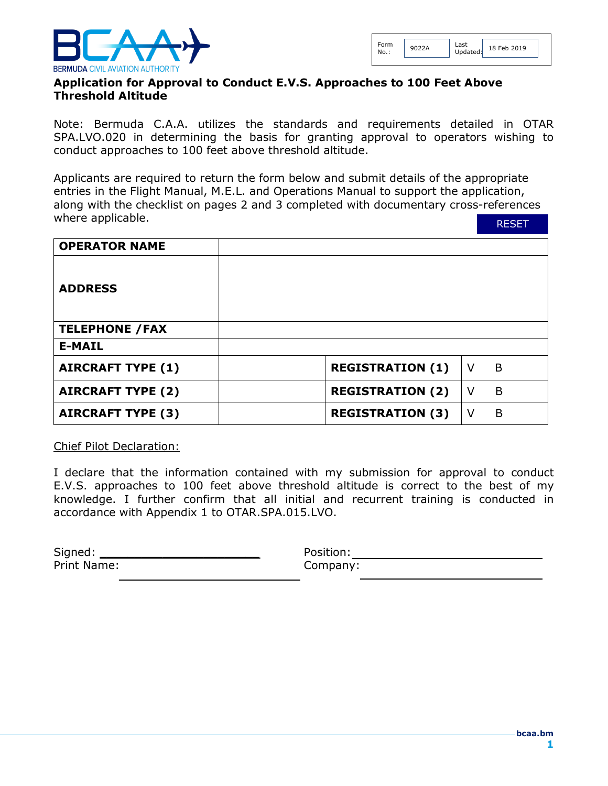

## **Application for Approval to Conduct E.V.S. Approaches to 100 Feet Above Threshold Altitude**

Note: Bermuda C.A.A. utilizes the standards and requirements detailed in OTAR SPA.LVO.020 in determining the basis for granting approval to operators wishing to conduct approaches to 100 feet above threshold altitude.

Applicants are required to return the form below and submit details of the appropriate entries in the Flight Manual, M.E.L. and Operations Manual to support the application, along with the checklist on pages 2 and 3 completed with documentary cross-references where applicable.

RESET

| <b>OPERATOR NAME</b>     |                         |        |   |
|--------------------------|-------------------------|--------|---|
| <b>ADDRESS</b>           |                         |        |   |
| <b>TELEPHONE / FAX</b>   |                         |        |   |
| <b>E-MAIL</b>            |                         |        |   |
| <b>AIRCRAFT TYPE (1)</b> | <b>REGISTRATION (1)</b> | $\vee$ | B |
| <b>AIRCRAFT TYPE (2)</b> | <b>REGISTRATION (2)</b> | V      | B |
| <b>AIRCRAFT TYPE (3)</b> | <b>REGISTRATION (3)</b> | V      | B |

Chief Pilot Declaration:

I declare that the information contained with my submission for approval to conduct E.V.S. approaches to 100 feet above threshold altitude is correct to the best of my knowledge. I further confirm that all initial and recurrent training is conducted in accordance with Appendix 1 to OTAR.SPA.015.LVO.

| Signed:     | Position: |
|-------------|-----------|
| Print Name: | Company:  |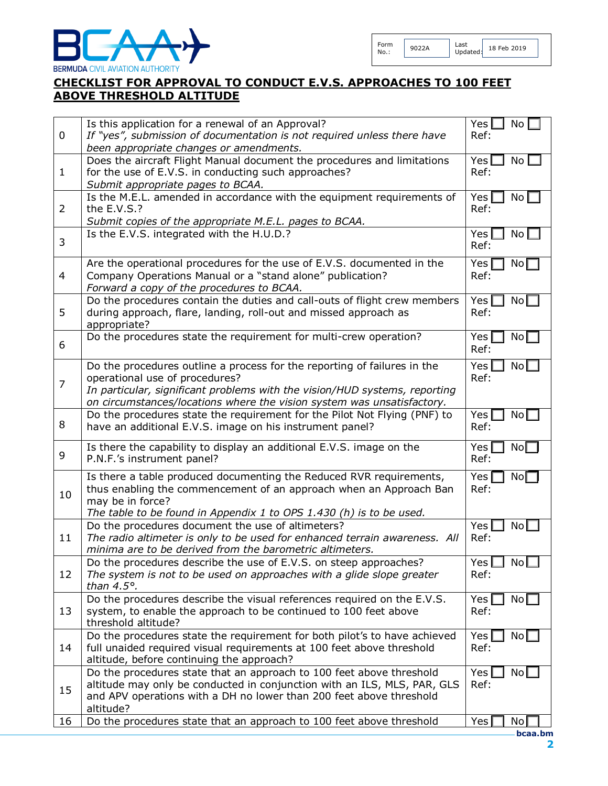

18 Feb 2019

## **CHECKLIST FOR APPROVAL TO CONDUCT E.V.S. APPROACHES TO 100 FEET ABOVE THRESHOLD ALTITUDE**

| 0              | Is this application for a renewal of an Approval?<br>If "yes", submission of documentation is not required unless there have<br>been appropriate changes or amendments.                                                                                            | Yes  <br>No<br>Ref:              |
|----------------|--------------------------------------------------------------------------------------------------------------------------------------------------------------------------------------------------------------------------------------------------------------------|----------------------------------|
| $\mathbf{1}$   | Does the aircraft Flight Manual document the procedures and limitations<br>for the use of E.V.S. in conducting such approaches?<br>Submit appropriate pages to BCAA.                                                                                               | Yes <br>No l<br>Ref:             |
| $\overline{2}$ | Is the M.E.L. amended in accordance with the equipment requirements of<br>the E.V.S.?<br>Submit copies of the appropriate M.E.L. pages to BCAA.                                                                                                                    | Yes<br>No <sub>1</sub><br>Ref:   |
| 3              | Is the E.V.S. integrated with the H.U.D.?                                                                                                                                                                                                                          | Yes<br>No <sub>1</sub><br>Ref:   |
| $\overline{4}$ | Are the operational procedures for the use of E.V.S. documented in the<br>Company Operations Manual or a "stand alone" publication?<br>Forward a copy of the procedures to BCAA.                                                                                   | Yes<br>No <sub>1</sub><br>Ref:   |
| 5              | Do the procedures contain the duties and call-outs of flight crew members<br>during approach, flare, landing, roll-out and missed approach as<br>appropriate?                                                                                                      | Yes  <br>No <sub>l</sub><br>Ref: |
| 6              | Do the procedures state the requirement for multi-crew operation?                                                                                                                                                                                                  | No <sub>1</sub><br>Yes<br>Ref:   |
| $\overline{7}$ | Do the procedures outline a process for the reporting of failures in the<br>operational use of procedures?<br>In particular, significant problems with the vision/HUD systems, reporting<br>on circumstances/locations where the vision system was unsatisfactory. | Yes<br>NoL<br>Ref:               |
| 8              | Do the procedures state the requirement for the Pilot Not Flying (PNF) to<br>have an additional E.V.S. image on his instrument panel?                                                                                                                              | Yes<br>No[<br>Ref:               |
| 9              | Is there the capability to display an additional E.V.S. image on the<br>P.N.F.'s instrument panel?                                                                                                                                                                 | Yes<br>No <sub>l</sub><br>Ref:   |
| 10             | Is there a table produced documenting the Reduced RVR requirements,<br>thus enabling the commencement of an approach when an Approach Ban<br>may be in force?<br>The table to be found in Appendix 1 to OPS 1.430 (h) is to be used.                               | Yes<br>No <sub>1</sub><br>Ref:   |
| 11             | Do the procedures document the use of altimeters?<br>The radio altimeter is only to be used for enhanced terrain awareness. All<br>minima are to be derived from the barometric altimeters.                                                                        | Yes<br>No <sub>l</sub><br>Ref:   |
| 12             | Do the procedures describe the use of E.V.S. on steep approaches?<br>The system is not to be used on approaches with a glide slope greater<br>than $4.5^\circ$ .                                                                                                   | Yes [<br>No<br>Ref:              |
| 13             | Do the procedures describe the visual references required on the E.V.S.<br>system, to enable the approach to be continued to 100 feet above<br>threshold altitude?                                                                                                 | Yes<br>No [<br>Ref:              |
| 14             | Do the procedures state the requirement for both pilot's to have achieved<br>full unaided required visual requirements at 100 feet above threshold<br>altitude, before continuing the approach?                                                                    | No <sub>l</sub><br>Yes<br>Ref:   |
| 15             | Do the procedures state that an approach to 100 feet above threshold<br>altitude may only be conducted in conjunction with an ILS, MLS, PAR, GLS<br>and APV operations with a DH no lower than 200 feet above threshold<br>altitude?                               | Yes<br>No <sub>l</sub><br>Ref:   |
| 16             | Do the procedures state that an approach to 100 feet above threshold                                                                                                                                                                                               | Yes<br>No<br>bcaa.bm             |